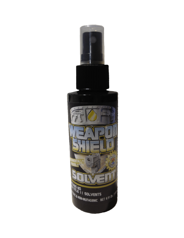